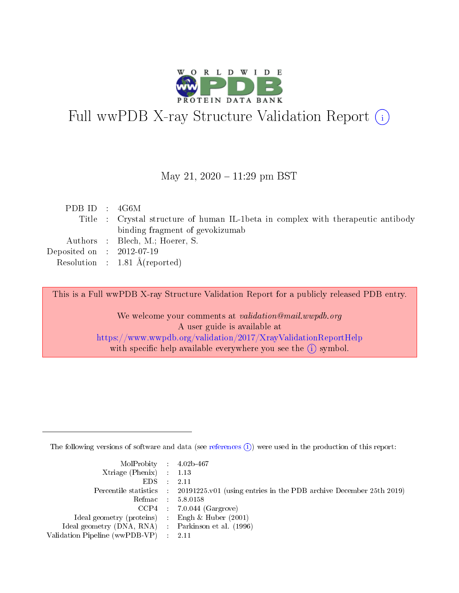

# Full wwPDB X-ray Structure Validation Report (i)

May 21,  $2020 - 11:29$  pm BST

|  | PDB ID : 4G6M                                                                     |
|--|-----------------------------------------------------------------------------------|
|  | Title : Crystal structure of human IL-1beta in complex with the rapeutic antibody |
|  | binding fragment of gevokizumab                                                   |
|  | Authors : Blech, M.; Hoerer, S.                                                   |
|  | Deposited on $\therefore$ 2012-07-19                                              |
|  | Resolution : $1.81 \text{ Å}$ (reported)                                          |

This is a Full wwPDB X-ray Structure Validation Report for a publicly released PDB entry.

We welcome your comments at validation@mail.wwpdb.org A user guide is available at <https://www.wwpdb.org/validation/2017/XrayValidationReportHelp> with specific help available everywhere you see the  $(i)$  symbol.

The following versions of software and data (see [references](https://www.wwpdb.org/validation/2017/XrayValidationReportHelp#references)  $(i)$ ) were used in the production of this report:

| $MolProbability$ 4.02b-467                          |                                                                                            |
|-----------------------------------------------------|--------------------------------------------------------------------------------------------|
| Xtriage (Phenix) $: 1.13$                           |                                                                                            |
| $EDS$ :                                             | -2.11                                                                                      |
|                                                     | Percentile statistics : 20191225.v01 (using entries in the PDB archive December 25th 2019) |
|                                                     | Refmac : 5.8.0158                                                                          |
|                                                     | $CCP4$ : 7.0.044 (Gargrove)                                                                |
| Ideal geometry (proteins) : Engh $\&$ Huber (2001)  |                                                                                            |
| Ideal geometry (DNA, RNA) : Parkinson et al. (1996) |                                                                                            |
| Validation Pipeline (wwPDB-VP)                      | -2.11                                                                                      |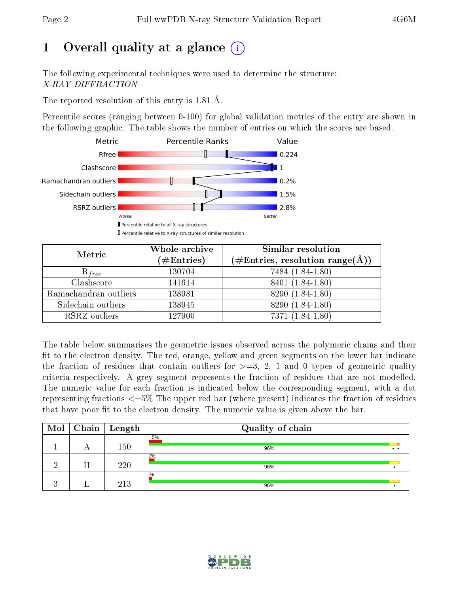# 1 [O](https://www.wwpdb.org/validation/2017/XrayValidationReportHelp#overall_quality)verall quality at a glance  $(i)$

The following experimental techniques were used to determine the structure: X-RAY DIFFRACTION

The reported resolution of this entry is 1.81 Å.

Percentile scores (ranging between 0-100) for global validation metrics of the entry are shown in the following graphic. The table shows the number of entries on which the scores are based.



| Metric                | Whole archive<br>$(\#\mathrm{Entries})$ | Similar resolution<br>$(\#\text{Entries},\,\text{resolution}\,\,\text{range}(\textup{\AA}))$ |
|-----------------------|-----------------------------------------|----------------------------------------------------------------------------------------------|
| $R_{free}$            | 130704                                  | 7484 (1.84-1.80)                                                                             |
| Clashscore            | 141614                                  | 8401 (1.84-1.80)                                                                             |
| Ramachandran outliers | 138981                                  | 8290 (1.84-1.80)                                                                             |
| Sidechain outliers    | 138945                                  | 8290 (1.84-1.80)                                                                             |
| RSRZ outliers         | 127900                                  | 7371 (1.84-1.80)                                                                             |

The table below summarises the geometric issues observed across the polymeric chains and their fit to the electron density. The red, orange, yellow and green segments on the lower bar indicate the fraction of residues that contain outliers for  $>=3, 2, 1$  and 0 types of geometric quality criteria respectively. A grey segment represents the fraction of residues that are not modelled. The numeric value for each fraction is indicated below the corresponding segment, with a dot representing fractions  $\epsilon=5\%$  The upper red bar (where present) indicates the fraction of residues that have poor fit to the electron density. The numeric value is given above the bar.

| Mol |   | Chain   Length | Quality of chain |                       |
|-----|---|----------------|------------------|-----------------------|
|     |   | $150\,$        | 5%<br>96%        | $\bullet\quad\bullet$ |
|     | H | 220            | 2%<br>96%        |                       |
|     |   | 213            | %<br>96%         |                       |

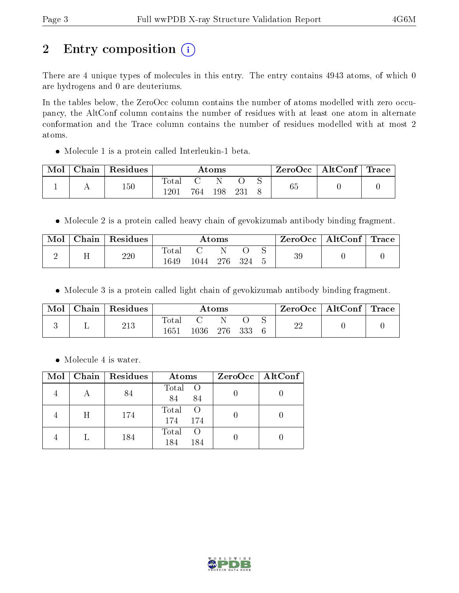# 2 Entry composition (i)

There are 4 unique types of molecules in this entry. The entry contains 4943 atoms, of which 0 are hydrogens and 0 are deuteriums.

In the tables below, the ZeroOcc column contains the number of atoms modelled with zero occupancy, the AltConf column contains the number of residues with at least one atom in alternate conformation and the Trace column contains the number of residues modelled with at most 2 atoms.

Molecule 1 is a protein called Interleukin-1 beta.

| Mol | Chain | $\mathop{\mathsf{Residues}}$ |       |     | $\rm{Atoms}$ |      |    | $\text{ZeroOcc}$   AltConf   Trace |  |
|-----|-------|------------------------------|-------|-----|--------------|------|----|------------------------------------|--|
|     |       | 150                          | 10tal |     |              |      | 65 |                                    |  |
|     |       |                              | 1201  | 764 | 198          | ാ? * |    |                                    |  |

Molecule 2 is a protein called heavy chain of gevokizumab antibody binding fragment.

| Mol | Chain   Residues |             |      | $\rm{Atoms}$ |       | ZeroOcc | $\mid$ AltConf $\mid$ Trace $\mid$ |  |
|-----|------------------|-------------|------|--------------|-------|---------|------------------------------------|--|
|     | 220              | $\rm Total$ |      |              |       | 39      |                                    |  |
|     |                  | 1649        | 1044 | -276         | - 324 |         |                                    |  |

• Molecule 3 is a protein called light chain of gevokizumab antibody binding fragment.

| Mol | Chain | Residues |                     |          | Atoms |     | ZeroOcc | $\mid$ AltConf $\mid$ Trace |  |
|-----|-------|----------|---------------------|----------|-------|-----|---------|-----------------------------|--|
|     |       | 213      | $\rm Total$<br>1651 | $1036\,$ | -276  | 333 | ഹ       |                             |  |

• Molecule 4 is water.

| Mol |   | Chain   Residues | Atoms                                   | $ZeroOcc \mid AltConf \mid$ |
|-----|---|------------------|-----------------------------------------|-----------------------------|
|     |   | 84               | Total O<br>84<br>84                     |                             |
|     | H | 174              | Total<br>- O<br>174<br>174              |                             |
|     |   | 184              | Total<br>$\left( \right)$<br>184<br>184 |                             |

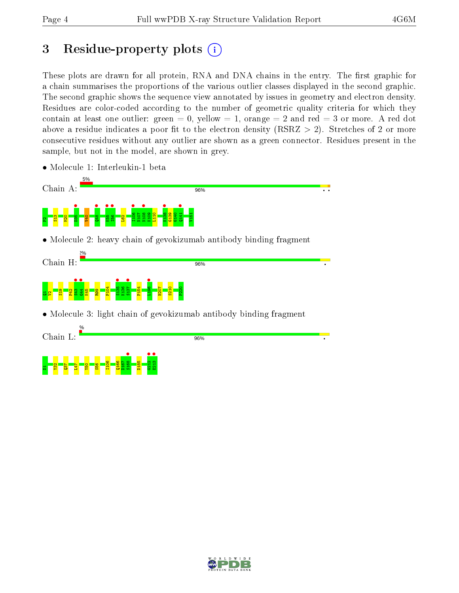## 3 Residue-property plots  $(i)$

These plots are drawn for all protein, RNA and DNA chains in the entry. The first graphic for a chain summarises the proportions of the various outlier classes displayed in the second graphic. The second graphic shows the sequence view annotated by issues in geometry and electron density. Residues are color-coded according to the number of geometric quality criteria for which they contain at least one outlier: green  $= 0$ , yellow  $= 1$ , orange  $= 2$  and red  $= 3$  or more. A red dot above a residue indicates a poor fit to the electron density (RSRZ  $> 2$ ). Stretches of 2 or more consecutive residues without any outlier are shown as a green connector. Residues present in the sample, but not in the model, are shown in grey.

• Molecule 1: Interleukin-1 beta





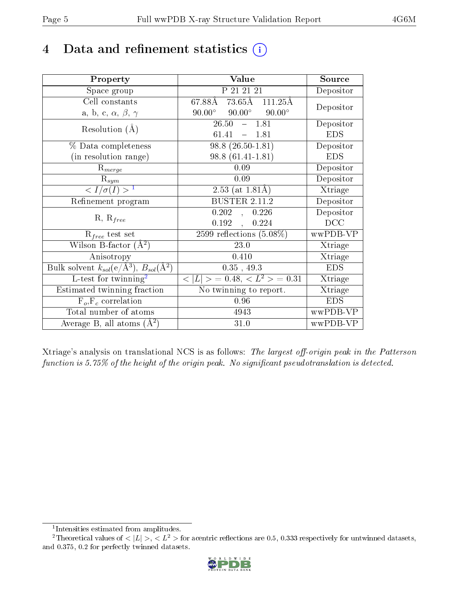# 4 Data and refinement statistics  $(i)$

| Property                                                                | Value                                           | Source     |
|-------------------------------------------------------------------------|-------------------------------------------------|------------|
| Space group                                                             | P 21 21 21                                      | Depositor  |
| Cell constants                                                          | 67.88Å<br>73.65Å 111.25Å                        | Depositor  |
| a, b, c, $\alpha$ , $\beta$ , $\gamma$                                  | $90.00^\circ$<br>$90.00^\circ$<br>$90.00^\circ$ |            |
| Resolution $(A)$                                                        | 26.50<br>$-1.81$                                | Depositor  |
|                                                                         | 61.41<br>$-1.81$                                | <b>EDS</b> |
| % Data completeness                                                     | $98.8(26.50-1.81)$                              | Depositor  |
| (in resolution range)                                                   | 98.8 (61.41-1.81)                               | <b>EDS</b> |
| $R_{merge}$                                                             | 0.09                                            | Depositor  |
| $\mathrm{R}_{sym}$                                                      | 0.09                                            | Depositor  |
| $\langle I/\sigma(I) \rangle^{-1}$                                      | 2.53 (at $1.81\text{\AA})$                      | Xtriage    |
| Refinement program                                                      | <b>BUSTER 2.11.2</b>                            | Depositor  |
| $R, R_{free}$                                                           | 0.202<br>0.226<br>$\mathcal{L}$                 | Depositor  |
|                                                                         | 0.192<br>0.224<br>$\frac{1}{2}$                 | DCC        |
| $\mathcal{R}_{free}$ test set                                           | $2599$ reflections $(5.08\%)$                   | wwPDB-VP   |
| Wilson B-factor $(A^2)$                                                 | 23.0                                            | Xtriage    |
| Anisotropy                                                              | 0.410                                           | Xtriage    |
| Bulk solvent $k_{sol}(\mathrm{e}/\mathrm{A}^3),\,B_{sol}(\mathrm{A}^2)$ | 0.35, 49.3                                      | <b>EDS</b> |
| L-test for twinning <sup>2</sup>                                        | $< L >$ = 0.48, $< L2 >$ = 0.31                 | Xtriage    |
| Estimated twinning fraction                                             | No twinning to report.                          | Xtriage    |
| $F_o, F_c$ correlation                                                  | 0.96                                            | <b>EDS</b> |
| Total number of atoms                                                   | 4943                                            | wwPDB-VP   |
| Average B, all atoms $(A^2)$                                            | 31.0                                            | wwPDB-VP   |

Xtriage's analysis on translational NCS is as follows: The largest off-origin peak in the Patterson function is  $5.75\%$  of the height of the origin peak. No significant pseudotranslation is detected.

<sup>&</sup>lt;sup>2</sup>Theoretical values of  $\langle |L| \rangle$ ,  $\langle L^2 \rangle$  for acentric reflections are 0.5, 0.333 respectively for untwinned datasets, and 0.375, 0.2 for perfectly twinned datasets.



<span id="page-4-1"></span><span id="page-4-0"></span><sup>1</sup> Intensities estimated from amplitudes.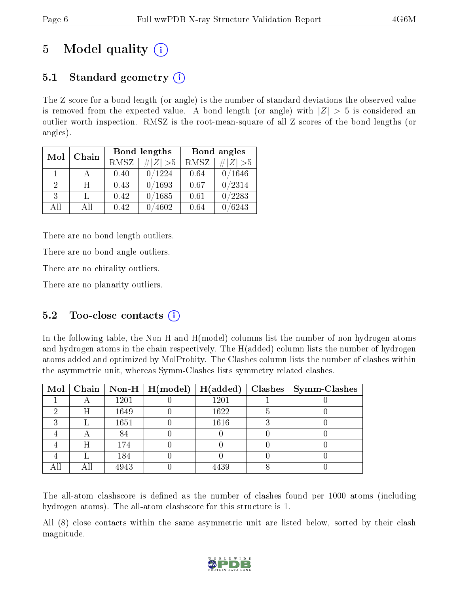# 5 Model quality  $(i)$

## 5.1 Standard geometry  $(i)$

The Z score for a bond length (or angle) is the number of standard deviations the observed value is removed from the expected value. A bond length (or angle) with  $|Z| > 5$  is considered an outlier worth inspection. RMSZ is the root-mean-square of all Z scores of the bond lengths (or angles).

| Mol           | Chain |      | Bond lengths | Bond angles |             |  |
|---------------|-------|------|--------------|-------------|-------------|--|
|               |       | RMSZ | $\# Z  > 5$  | RMSZ        | $\ Z\  > 5$ |  |
| 1.            |       | 0.40 | 0/1224       | 0.64        | 0/1646      |  |
| $\mathcal{D}$ | H     | 0.43 | 0/1693       | 0.67        | 0/2314      |  |
| 3             |       | 0.42 | /1685        | 0.61        | 0/2283      |  |
| AĦ            | Αll   | 0.42 | 4602         | 0.64        | /6243       |  |

There are no bond length outliers.

There are no bond angle outliers.

There are no chirality outliers.

There are no planarity outliers.

### 5.2 Too-close contacts (i)

In the following table, the Non-H and H(model) columns list the number of non-hydrogen atoms and hydrogen atoms in the chain respectively. The H(added) column lists the number of hydrogen atoms added and optimized by MolProbity. The Clashes column lists the number of clashes within the asymmetric unit, whereas Symm-Clashes lists symmetry related clashes.

|     |     |      | Mol   Chain   Non-H   $H(model)$ | H(added) | Clashes   Symm-Clashes |
|-----|-----|------|----------------------------------|----------|------------------------|
|     |     | 1201 |                                  | 1201     |                        |
|     | H   | 1649 |                                  | 1622     |                        |
|     |     | 1651 |                                  | 1616     |                        |
|     |     | 84   |                                  |          |                        |
|     | Η   | 174  |                                  |          |                        |
|     |     | 184  |                                  |          |                        |
| All | Αll | 4943 |                                  | 4439     |                        |

The all-atom clashscore is defined as the number of clashes found per 1000 atoms (including hydrogen atoms). The all-atom clashscore for this structure is 1.

All (8) close contacts within the same asymmetric unit are listed below, sorted by their clash magnitude.

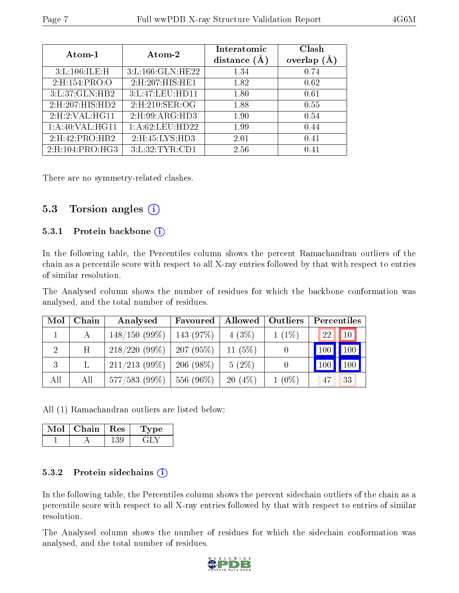| Atom-1              | Atom-2             | Interatomic<br>distance $(A)$ | Clash<br>overlap $(A)$ |
|---------------------|--------------------|-------------------------------|------------------------|
| 3: L: 106: ILE: H   | 3:L:166:GLN:HE22   | 1.34                          | 0.74                   |
| 2: H: 154: PRO: O   | 2: H:207: HIS: HE1 | 1.82                          | 0.62                   |
| 3:L:37:GLN:HB2      | 3:L:47:LEU:HD11    | 1.80                          | 0.61                   |
| 2: H: 207: HIS: HD2 | 2: H:210: SER:OG   | 1.88                          | 0.55                   |
| 2: H:2: VAL:HGI1    | 2: H:99: ARG: HD3  | 1.90                          | 0.54                   |
| 1: A:40: VAL:HGI1   | 1: A:62:LEU:HD22   | 1.99                          | 0.44                   |
| 2: H:42: PRO:HB2    | 2: H: 45: LYS: HD3 | 2.01                          | 0.41                   |
| 2: H: 104: PRO:H G3 | 3:L:32:TYR:CD1     | 2.56                          | 0.41                   |

There are no symmetry-related clashes.

### 5.3 Torsion angles (i)

#### 5.3.1 Protein backbone  $(i)$

In the following table, the Percentiles column shows the percent Ramachandran outliers of the chain as a percentile score with respect to all X-ray entries followed by that with respect to entries of similar resolution.

The Analysed column shows the number of residues for which the backbone conformation was analysed, and the total number of residues.

| Mol            | Chain | Analysed         | Favoured    | Allowed   | <b>Outliers</b> | Percentiles      |
|----------------|-------|------------------|-------------|-----------|-----------------|------------------|
|                |       | $148/150(99\%)$  | $143(97\%)$ | $4(3\%)$  | $1(1\%)$        | 22<br>$\vert$ 10 |
| $\overline{2}$ | H     | 218/220(99%)     | 207(95%)    | 11 $(5%)$ |                 | 100              |
| 3              |       | $211/213$ (99\%) | $206(98\%)$ | $5(2\%)$  |                 | 100<br>100       |
| All            | All   | $577/583(99\%)$  | $556(96\%)$ | $20(4\%)$ | $1(0\%)$        | 33<br>47         |

All (1) Ramachandran outliers are listed below:

| Mol | Chain | $\,$ Res | oe- |
|-----|-------|----------|-----|
|     |       |          |     |

#### 5.3.2 Protein sidechains (i)

In the following table, the Percentiles column shows the percent sidechain outliers of the chain as a percentile score with respect to all X-ray entries followed by that with respect to entries of similar resolution.

The Analysed column shows the number of residues for which the sidechain conformation was analysed, and the total number of residues.

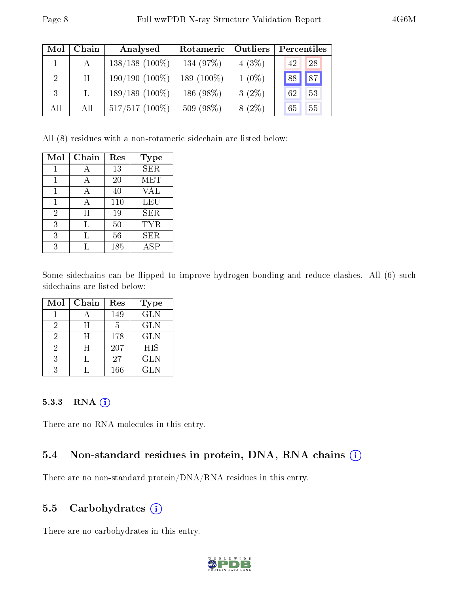| Mol | Chain           | Analysed         | Rotameric     | <b>Outliers</b> | Percentiles |
|-----|-----------------|------------------|---------------|-----------------|-------------|
|     | А               | $138/138(100\%)$ | 134 (97%)     | 4(3%)           | 28<br>42    |
| 2   | $H_{\parallel}$ | $190/190(100\%)$ | 189 $(100\%)$ | $1(0\%)$        | 87<br> 88   |
| 3   | $\mathbf{L}$    | $189/189(100\%)$ | 186 (98%)     | $3(2\%)$        | 53<br>62    |
| All | All             | $517/517(100\%)$ | 509 (98%)     | $8(2\%)$        | 55<br>65    |

All (8) residues with a non-rotameric sidechain are listed below:

| Mol            | Chain     | Res | <b>Type</b> |
|----------------|-----------|-----|-------------|
|                |           | 13  | <b>SER</b>  |
|                |           | 20  | <b>MET</b>  |
| 1              | А         | 40  | <b>VAL</b>  |
| 1              | А         | 110 | <b>LEU</b>  |
| $\overline{2}$ | $H_{\rm}$ | 19  | <b>SER</b>  |
| 3              | Τ,        | 50  | <b>TYR</b>  |
| 3              | L         | 56  | <b>SER</b>  |
| 3              |           | 185 | ASP         |

Some sidechains can be flipped to improve hydrogen bonding and reduce clashes. All (6) such sidechains are listed below:

| Mol | Chain | Res | <b>Type</b> |
|-----|-------|-----|-------------|
|     |       | 149 | <b>GLN</b>  |
| 2   | H     | 5   | <b>GLN</b>  |
| 2   | H     | 178 | <b>GLN</b>  |
| 2   | H     | 207 | <b>HIS</b>  |
| 3   |       | 27  | <b>GLN</b>  |
|     |       | 166 | GL N        |

#### 5.3.3 RNA (1)

There are no RNA molecules in this entry.

### 5.4 Non-standard residues in protein, DNA, RNA chains (i)

There are no non-standard protein/DNA/RNA residues in this entry.

### 5.5 Carbohydrates (i)

There are no carbohydrates in this entry.

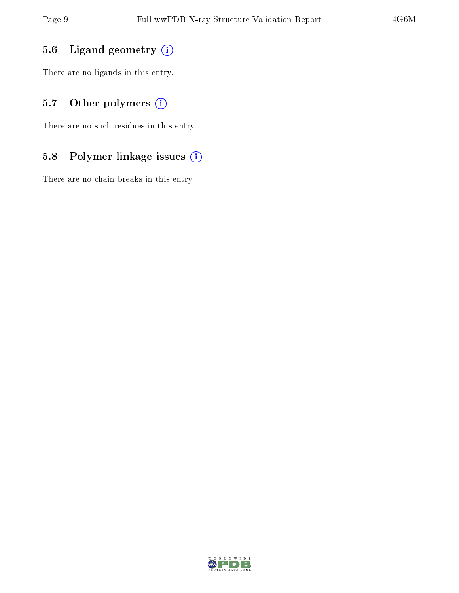## 5.6 Ligand geometry (i)

There are no ligands in this entry.

## 5.7 [O](https://www.wwpdb.org/validation/2017/XrayValidationReportHelp#nonstandard_residues_and_ligands)ther polymers (i)

There are no such residues in this entry.

## 5.8 Polymer linkage issues (i)

There are no chain breaks in this entry.

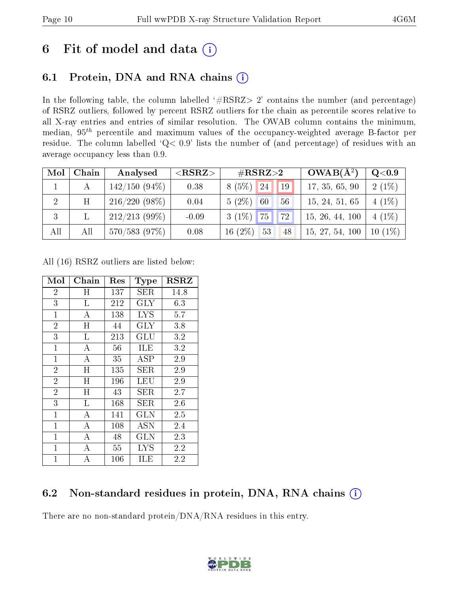# 6 Fit of model and data  $(i)$

## 6.1 Protein, DNA and RNA chains  $(i)$

In the following table, the column labelled  $#RSRZ> 2'$  contains the number (and percentage) of RSRZ outliers, followed by percent RSRZ outliers for the chain as percentile scores relative to all X-ray entries and entries of similar resolution. The OWAB column contains the minimum, median,  $95<sup>th</sup>$  percentile and maximum values of the occupancy-weighted average B-factor per residue. The column labelled ' $Q< 0.9$ ' lists the number of (and percentage) of residues with an average occupancy less than 0.9.

| Mol            | Chain | Analysed        | ${ <\hspace{-1.5pt}{\mathrm{RSRZ}} \hspace{-1.5pt}>}$ | $\#\text{RSRZ}\text{>2}$               | $OWAB(A^2)$     | $Q<$ 0.9                  |
|----------------|-------|-----------------|-------------------------------------------------------|----------------------------------------|-----------------|---------------------------|
|                |       | $142/150(94\%)$ | 0.38                                                  | (5%)<br>24<br>19<br>8                  | 17, 35, 65, 90  | $2(1\%)$                  |
| $\overline{2}$ | H     | $216/220(98\%)$ | 0.04                                                  | $5(2\%)$<br>60<br>56                   | 15, 24, 51, 65  | (1%)<br>4                 |
| 3              |       | $212/213$ (99%) | $-0.09$                                               | 72<br>75<br>$3(1\%)$                   | 15, 26, 44, 100 | $(1\%)$<br>$\overline{4}$ |
| All            | All   | 570/583(97%)    | 0.08                                                  | $(2\%)$<br>53<br>16 <sup>°</sup><br>48 | 15, 27, 54, 100 | $(1\%)$<br>10             |

All (16) RSRZ outliers are listed below:

| Mol            | ${\rm Chain}$    | $\operatorname{Res}% \left( \mathcal{N}\right) \equiv\operatorname{Res}(\mathcal{N}_{0},\mathcal{N}_{0})$ | Type              | $_{\rm RSRZ}$ |
|----------------|------------------|-----------------------------------------------------------------------------------------------------------|-------------------|---------------|
| $\overline{2}$ | Η                | 137                                                                                                       | <b>SER</b>        | 14.8          |
| $\overline{3}$ | L                | 212                                                                                                       | $\rm GLY$         | 6.3           |
| $\mathbf{1}$   | А                | 138                                                                                                       | $_{\mathrm{LYS}}$ | 5.7           |
| $\overline{2}$ | H                | 44                                                                                                        | GLY               | 3.8           |
| $\overline{3}$ | L                | 213                                                                                                       | GLU               | 3.2           |
| $\mathbf{1}$   | $\overline{A}$   | 56                                                                                                        | ILE               | 3.2           |
| $\mathbf{1}$   | A                | 35                                                                                                        | $\rm{ASP}$        | 2.9           |
| $\overline{2}$ | H                | 135                                                                                                       | SER.              | 2.9           |
| $\overline{2}$ | H                | 196                                                                                                       | LEU               | 2.9           |
| $\overline{2}$ | H                | 43                                                                                                        | SER               | 2.7           |
| $\overline{3}$ | L                | 168                                                                                                       | SER               | 2.6           |
| $\mathbf{1}$   | A                | 141                                                                                                       | <b>GLN</b>        | 2.5           |
| $\mathbf 1$    | $\overline{A}$   | 108                                                                                                       | <b>ASN</b>        | 2.4           |
| $\mathbf{1}$   | $\boldsymbol{A}$ | 48                                                                                                        | <b>GLN</b>        | 2.3           |
| $\mathbf{1}$   | $\overline{A}$   | 55                                                                                                        | $_{\mathrm{LYS}}$ | 2.2           |
| 1              | А                | $106\,$                                                                                                   | ILE               | 2.2           |

## 6.2 Non-standard residues in protein, DNA, RNA chains  $(i)$

There are no non-standard protein/DNA/RNA residues in this entry.